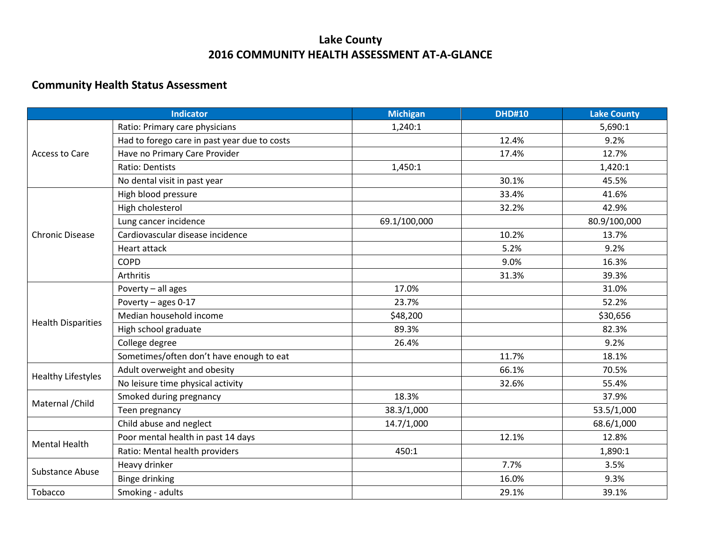## **Lake County 2016 COMMUNITY HEALTH ASSESSMENT AT-A-GLANCE**

## **Community Health Status Assessment**

| <b>Indicator</b>          |                                              | <b>Michigan</b> | <b>DHD#10</b> | <b>Lake County</b> |
|---------------------------|----------------------------------------------|-----------------|---------------|--------------------|
| Access to Care            | Ratio: Primary care physicians               | 1,240:1         |               | 5,690:1            |
|                           | Had to forego care in past year due to costs |                 | 12.4%         | 9.2%               |
|                           | Have no Primary Care Provider                |                 | 17.4%         | 12.7%              |
|                           | Ratio: Dentists                              | 1,450:1         |               | 1,420:1            |
|                           | No dental visit in past year                 |                 | 30.1%         | 45.5%              |
| <b>Chronic Disease</b>    | High blood pressure                          |                 | 33.4%         | 41.6%              |
|                           | High cholesterol                             |                 | 32.2%         | 42.9%              |
|                           | Lung cancer incidence                        | 69.1/100,000    |               | 80.9/100,000       |
|                           | Cardiovascular disease incidence             |                 | 10.2%         | 13.7%              |
|                           | Heart attack                                 |                 | 5.2%          | 9.2%               |
|                           | <b>COPD</b>                                  |                 | 9.0%          | 16.3%              |
|                           | <b>Arthritis</b>                             |                 | 31.3%         | 39.3%              |
|                           | Poverty - all ages                           | 17.0%           |               | 31.0%              |
|                           | Poverty - ages 0-17                          | 23.7%           |               | 52.2%              |
| <b>Health Disparities</b> | Median household income                      | \$48,200        |               | \$30,656           |
|                           | High school graduate                         | 89.3%           |               | 82.3%              |
|                           | College degree                               | 26.4%           |               | 9.2%               |
|                           | Sometimes/often don't have enough to eat     |                 | 11.7%         | 18.1%              |
|                           | Adult overweight and obesity                 |                 | 66.1%         | 70.5%              |
| <b>Healthy Lifestyles</b> | No leisure time physical activity            |                 | 32.6%         | 55.4%              |
|                           | Smoked during pregnancy                      | 18.3%           |               | 37.9%              |
| Maternal / Child          | Teen pregnancy                               | 38.3/1,000      |               | 53.5/1,000         |
|                           | Child abuse and neglect                      | 14.7/1,000      |               | 68.6/1,000         |
| <b>Mental Health</b>      | Poor mental health in past 14 days           |                 | 12.1%         | 12.8%              |
|                           | Ratio: Mental health providers               | 450:1           |               | 1,890:1            |
|                           | Heavy drinker                                |                 | 7.7%          | 3.5%               |
| <b>Substance Abuse</b>    | <b>Binge drinking</b>                        |                 | 16.0%         | 9.3%               |
| Tobacco                   | Smoking - adults                             |                 | 29.1%         | 39.1%              |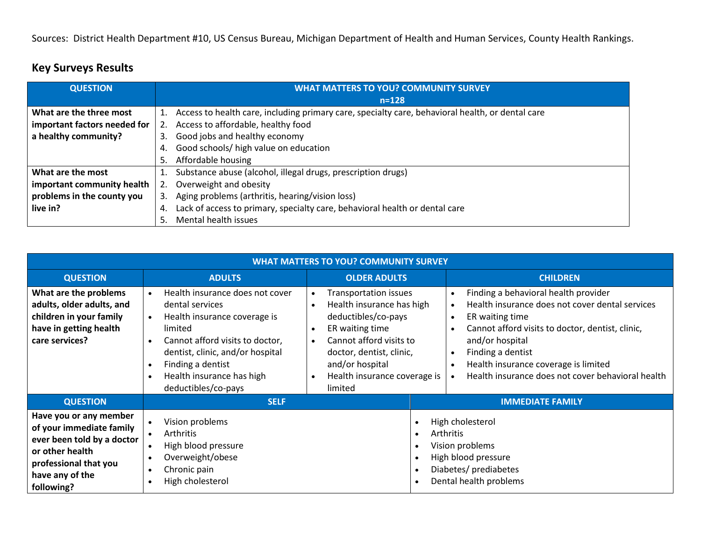Sources: District Health Department #10, US Census Bureau, Michigan Department of Health and Human Services, County Health Rankings.

| <b>QUESTION</b>              | <b>WHAT MATTERS TO YOU? COMMUNITY SURVEY</b>                                                           |  |
|------------------------------|--------------------------------------------------------------------------------------------------------|--|
|                              | $n = 128$                                                                                              |  |
| What are the three most      | Access to health care, including primary care, specialty care, behavioral health, or dental care<br>1. |  |
| important factors needed for | Access to affordable, healthy food                                                                     |  |
| a healthy community?         | Good jobs and healthy economy<br>3.                                                                    |  |
|                              | Good schools/ high value on education<br>4.                                                            |  |
|                              | Affordable housing<br>5.                                                                               |  |
| What are the most            | Substance abuse (alcohol, illegal drugs, prescription drugs)<br>1.                                     |  |
| important community health   | Overweight and obesity<br>2.                                                                           |  |
| problems in the county you   | Aging problems (arthritis, hearing/vision loss)<br>3.                                                  |  |
| live in?                     | Lack of access to primary, specialty care, behavioral health or dental care<br>4.                      |  |
|                              | Mental health issues<br>5.                                                                             |  |

## **Key Surveys Results**

| <b>WHAT MATTERS TO YOU? COMMUNITY SURVEY</b>                                                                                                                  |                                                                                                                                                                                                                                                                         |                                                                                                                                                                                                                          |                                                                                                                            |                                                                                                                                                                                                                                                                                                                  |  |
|---------------------------------------------------------------------------------------------------------------------------------------------------------------|-------------------------------------------------------------------------------------------------------------------------------------------------------------------------------------------------------------------------------------------------------------------------|--------------------------------------------------------------------------------------------------------------------------------------------------------------------------------------------------------------------------|----------------------------------------------------------------------------------------------------------------------------|------------------------------------------------------------------------------------------------------------------------------------------------------------------------------------------------------------------------------------------------------------------------------------------------------------------|--|
| <b>QUESTION</b>                                                                                                                                               | <b>ADULTS</b>                                                                                                                                                                                                                                                           | <b>OLDER ADULTS</b>                                                                                                                                                                                                      |                                                                                                                            | <b>CHILDREN</b>                                                                                                                                                                                                                                                                                                  |  |
| What are the problems<br>adults, older adults, and<br>children in your family<br>have in getting health<br>care services?                                     | Health insurance does not cover<br>$\bullet$<br>dental services<br>Health insurance coverage is<br>$\bullet$<br>limited<br>Cannot afford visits to doctor,<br>dentist, clinic, and/or hospital<br>Finding a dentist<br>Health insurance has high<br>deductibles/co-pays | <b>Transportation issues</b><br>Health insurance has high<br>deductibles/co-pays<br>ER waiting time<br>Cannot afford visits to<br>doctor, dentist, clinic,<br>and/or hospital<br>Health insurance coverage is<br>limited |                                                                                                                            | Finding a behavioral health provider<br>Health insurance does not cover dental services<br>ER waiting time<br>$\bullet$<br>Cannot afford visits to doctor, dentist, clinic,<br>and/or hospital<br>Finding a dentist<br>Health insurance coverage is limited<br>Health insurance does not cover behavioral health |  |
| <b>QUESTION</b>                                                                                                                                               | <b>SELF</b>                                                                                                                                                                                                                                                             |                                                                                                                                                                                                                          |                                                                                                                            | <b>IMMEDIATE FAMILY</b>                                                                                                                                                                                                                                                                                          |  |
| Have you or any member<br>of your immediate family<br>ever been told by a doctor<br>or other health<br>professional that you<br>have any of the<br>following? | Vision problems<br><b>Arthritis</b><br>High blood pressure<br>Overweight/obese<br>Chronic pain<br>High cholesterol                                                                                                                                                      |                                                                                                                                                                                                                          | High cholesterol<br>Arthritis<br>Vision problems<br>High blood pressure<br>Diabetes/ prediabetes<br>Dental health problems |                                                                                                                                                                                                                                                                                                                  |  |